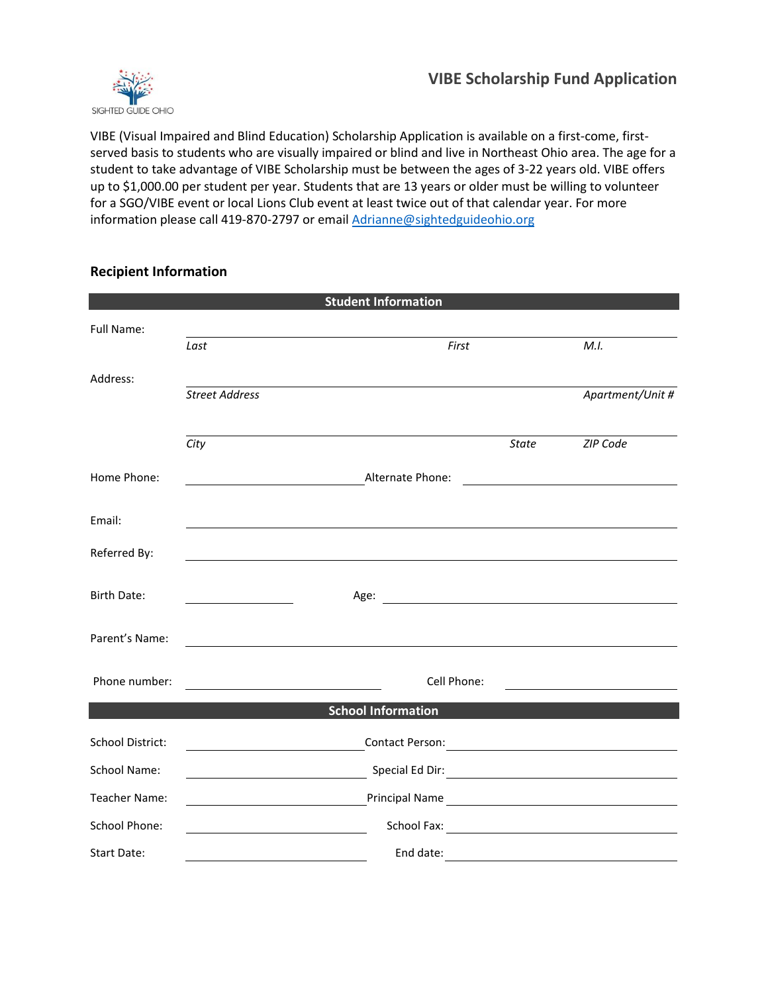

VIBE (Visual Impaired and Blind Education) Scholarship Application is available on a first-come, firstserved basis to students who are visually impaired or blind and live in Northeast Ohio area. The age for a student to take advantage of VIBE Scholarship must be between the ages of 3-22 years old. VIBE offers up to \$1,000.00 per student per year. Students that are 13 years or older must be willing to volunteer for a SGO/VIBE event or local Lions Club event at least twice out of that calendar year. For more information please call 419-870-2797 or emai[l Adrianne@sightedguideohio.org](mailto:Adrianne@sightedguideohio.org)

## **Recipient Information**

|                      |                                                               | <b>Student Information</b>                                                                                                                                                                                                           |              |                                               |
|----------------------|---------------------------------------------------------------|--------------------------------------------------------------------------------------------------------------------------------------------------------------------------------------------------------------------------------------|--------------|-----------------------------------------------|
| Full Name:           |                                                               |                                                                                                                                                                                                                                      |              |                                               |
|                      | Last                                                          | First                                                                                                                                                                                                                                |              | M.I.                                          |
| Address:             |                                                               |                                                                                                                                                                                                                                      |              |                                               |
|                      | <b>Street Address</b>                                         |                                                                                                                                                                                                                                      |              | Apartment/Unit #                              |
|                      |                                                               |                                                                                                                                                                                                                                      |              |                                               |
|                      | City                                                          |                                                                                                                                                                                                                                      | <b>State</b> | ZIP Code                                      |
| Home Phone:          |                                                               | Alternate Phone:                                                                                                                                                                                                                     |              | <u> 1989 - Johann Stein, fransk politik (</u> |
| Email:               |                                                               |                                                                                                                                                                                                                                      |              |                                               |
|                      |                                                               |                                                                                                                                                                                                                                      |              |                                               |
| Referred By:         |                                                               |                                                                                                                                                                                                                                      |              |                                               |
| <b>Birth Date:</b>   |                                                               | Age: <u>with a series of the series of the series of the series of the series of the series of the series of the series of the series of the series of the series of the series of the series of the series of the series of the</u> |              |                                               |
|                      |                                                               |                                                                                                                                                                                                                                      |              |                                               |
| Parent's Name:       |                                                               |                                                                                                                                                                                                                                      |              |                                               |
| Phone number:        |                                                               | Cell Phone:                                                                                                                                                                                                                          |              |                                               |
|                      |                                                               | <b>School Information</b>                                                                                                                                                                                                            |              |                                               |
|                      |                                                               |                                                                                                                                                                                                                                      |              |                                               |
| School District:     | <u> 1989 - Johann Barn, fransk politik fotograf (d. 1989)</u> |                                                                                                                                                                                                                                      |              |                                               |
| School Name:         |                                                               |                                                                                                                                                                                                                                      |              |                                               |
| Teacher Name:        |                                                               |                                                                                                                                                                                                                                      |              |                                               |
| <b>School Phone:</b> | <u> 1989 - Johann Barnett, fransk politiker (</u>             |                                                                                                                                                                                                                                      |              |                                               |
| Start Date:          |                                                               |                                                                                                                                                                                                                                      |              |                                               |